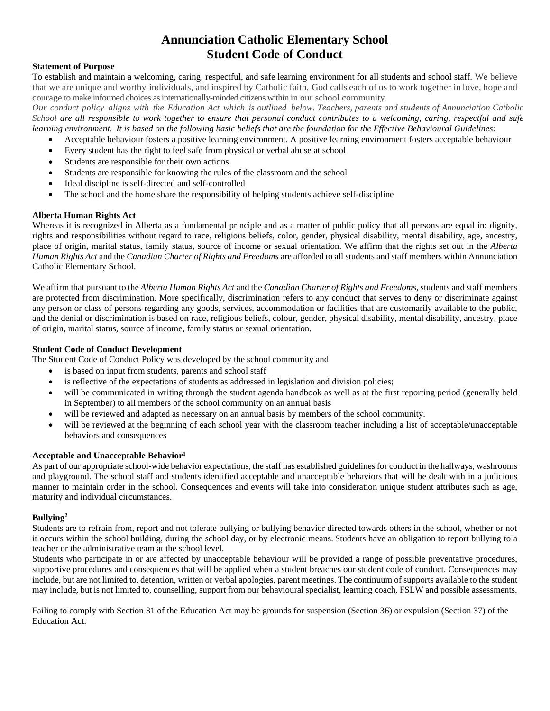# **Annunciation Catholic Elementary School Student Code of Conduct**

## **Statement of Purpose**

To establish and maintain a welcoming, caring, respectful, and safe learning environment for all students and school staff. We believe that we are unique and worthy individuals, and inspired by Catholic faith, God calls each of us to work together in love, hope and courage to make informed choices asinternationally-minded citizens within in our school community.

*Our conduct policy aligns with the Education Act which is outlined below. Teachers, parents and students of Annunciation Catholic School are all responsible to work together to ensure that personal conduct contributes to a welcoming, caring, respectful and safe learning environment. It is based on the following basic beliefs that are the foundation for the Effective Behavioural Guidelines:*

- Acceptable behaviour fosters a positive learning environment. A positive learning environment fosters acceptable behaviour
- Every student has the right to feel safe from physical or verbal abuse at school
- Students are responsible for their own actions
- Students are responsible for knowing the rules of the classroom and the school
- Ideal discipline is self-directed and self-controlled
- The school and the home share the responsibility of helping students achieve self-discipline

#### **Alberta Human Rights Act**

Whereas it is recognized in Alberta as a fundamental principle and as a matter of public policy that all persons are equal in: dignity, rights and responsibilities without regard to race, religious beliefs, color, gender, physical disability, mental disability, age, ancestry, place of origin, marital status, family status, source of income or sexual orientation. We affirm that the rights set out in the *Alberta Human Rights Act* and the *Canadian Charter of Rights and Freedoms* are afforded to all students and staff members within Annunciation Catholic Elementary School.

We affirm that pursuant to the *Alberta Human Rights Act* and the *Canadian Charter of Rights and Freedoms*, students and staff members are protected from discrimination. More specifically, discrimination refers to any conduct that serves to deny or discriminate against any person or class of persons regarding any goods, services, accommodation or facilities that are customarily available to the public, and the denial or discrimination is based on race, religious beliefs, colour, gender, physical disability, mental disability, ancestry, place of origin, marital status, source of income, family status or sexual orientation.

#### **Student Code of Conduct Development**

The Student Code of Conduct Policy was developed by the school community and

- is based on input from students, parents and school staff
- is reflective of the expectations of students as addressed in legislation and division policies;
- will be communicated in writing through the student agenda handbook as well as at the first reporting period (generally held in September) to all members of the school community on an annual basis
- will be reviewed and adapted as necessary on an annual basis by members of the school community.
- will be reviewed at the beginning of each school year with the classroom teacher including a list of acceptable/unacceptable behaviors and consequences

#### **Acceptable and Unacceptable Behavior<sup>1</sup>**

As part of our appropriate school-wide behavior expectations, the staff has established guidelines for conduct in the hallways, washrooms and playground. The school staff and students identified acceptable and unacceptable behaviors that will be dealt with in a judicious manner to maintain order in the school. Consequences and events will take into consideration unique student attributes such as age, maturity and individual circumstances.

## **Bullying<sup>2</sup>**

Students are to refrain from, report and not tolerate bullying or bullying behavior directed towards others in the school, whether or not it occurs within the school building, during the school day, or by electronic means. Students have an obligation to report bullying to a teacher or the administrative team at the school level.

Students who participate in or are affected by unacceptable behaviour will be provided a range of possible preventative procedures, supportive procedures and consequences that will be applied when a student breaches our student code of conduct. Consequences may include, but are not limited to, detention, written or verbal apologies, parent meetings. The continuum of supports available to the student may include, but is not limited to, counselling, support from our behavioural specialist, learning coach, FSLW and possible assessments.

Failing to comply with Section 31 of the Education Act may be grounds for suspension (Section 36) or expulsion (Section 37) of the Education Act.